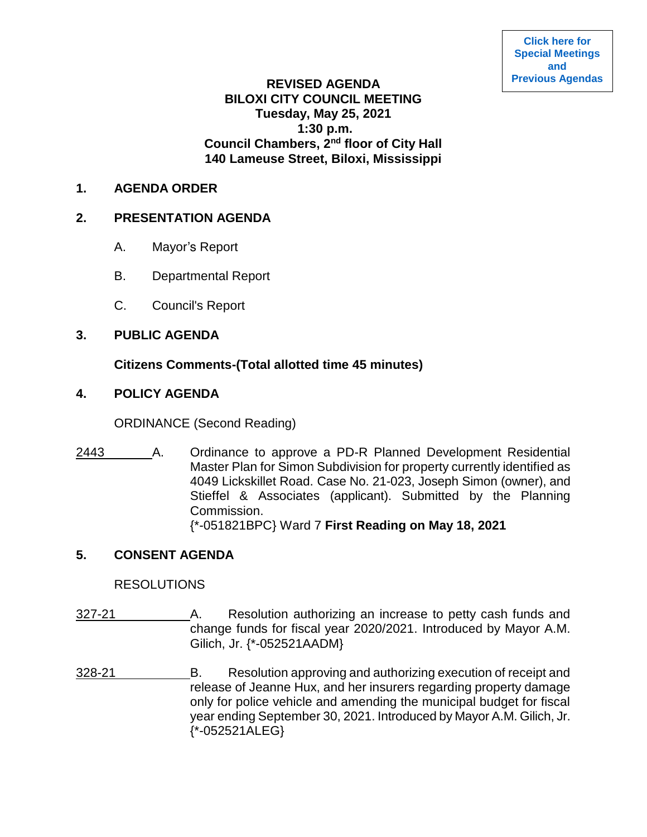# **REVISED AGENDA BILOXI CITY COUNCIL MEETING Tuesday, May 25, 2021 1:30 p.m. Council Chambers, 2nd floor of City Hall 140 Lameuse Street, Biloxi, Mississippi**

#### **1. AGENDA ORDER**

### **2. PRESENTATION AGENDA**

- A. Mayor's Report
- B. Departmental Report
- C. Council's Report

### **3. PUBLIC AGENDA**

# **Citizens Comments-(Total allotted time 45 minutes)**

# **4. POLICY AGENDA**

ORDINANCE (Second Reading)

2443 A. Ordinance to approve a PD-R Planned Development Residential Master Plan for Simon Subdivision for property currently identified as 4049 Lickskillet Road. Case No. 21-023, Joseph Simon (owner), and Stieffel & Associates (applicant). Submitted by the Planning Commission. {\*-051821BPC} Ward 7 **First Reading on May 18, 2021**

### **5. CONSENT AGENDA**

### **RESOLUTIONS**

- 327-21 A. Resolution authorizing an increase to petty cash funds and change funds for fiscal year 2020/2021. Introduced by Mayor A.M. Gilich, Jr. {\*-052521AADM}
- 328-21 B. Resolution approving and authorizing execution of receipt and release of Jeanne Hux, and her insurers regarding property damage only for police vehicle and amending the municipal budget for fiscal year ending September 30, 2021. Introduced by Mayor A.M. Gilich, Jr. {\*-052521ALEG}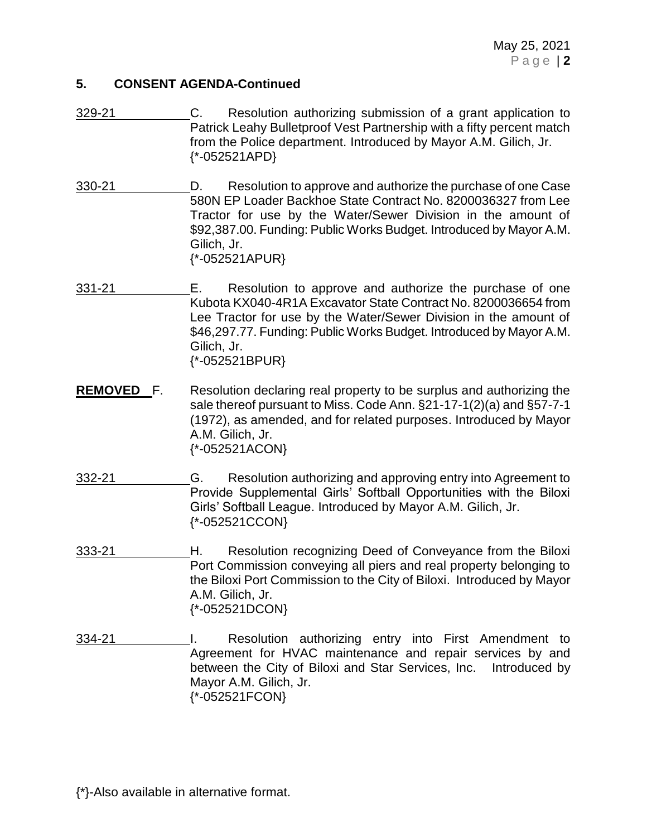- 329-21 C. Resolution authorizing submission of a grant application to Patrick Leahy Bulletproof Vest Partnership with a fifty percent match from the Police department. Introduced by Mayor A.M. Gilich, Jr. {\*-052521APD}
- 330-21 D. Resolution to approve and authorize the purchase of one Case 580N EP Loader Backhoe State Contract No. 8200036327 from Lee Tractor for use by the Water/Sewer Division in the amount of \$92,387.00. Funding: Public Works Budget. Introduced by Mayor A.M. Gilich, Jr. {\*-052521APUR}
- 331-21 E. Resolution to approve and authorize the purchase of one Kubota KX040-4R1A Excavator State Contract No. 8200036654 from Lee Tractor for use by the Water/Sewer Division in the amount of \$46,297.77. Funding: Public Works Budget. Introduced by Mayor A.M. Gilich, Jr. {\*-052521BPUR}
- **REMOVED** F. Resolution declaring real property to be surplus and authorizing the sale thereof pursuant to Miss. Code Ann. §21-17-1(2)(a) and §57-7-1 (1972), as amended, and for related purposes. Introduced by Mayor A.M. Gilich, Jr. {\*-052521ACON}
- 332-21 G. Resolution authorizing and approving entry into Agreement to Provide Supplemental Girls' Softball Opportunities with the Biloxi Girls' Softball League. Introduced by Mayor A.M. Gilich, Jr. {\*-052521CCON}
- 333-21 H. Resolution recognizing Deed of Conveyance from the Biloxi Port Commission conveying all piers and real property belonging to the Biloxi Port Commission to the City of Biloxi. Introduced by Mayor A.M. Gilich, Jr. {\*-052521DCON}
- 334-21 **I.** Resolution authorizing entry into First Amendment to Agreement for HVAC maintenance and repair services by and between the City of Biloxi and Star Services, Inc. Introduced by Mayor A.M. Gilich, Jr. {\*-052521FCON}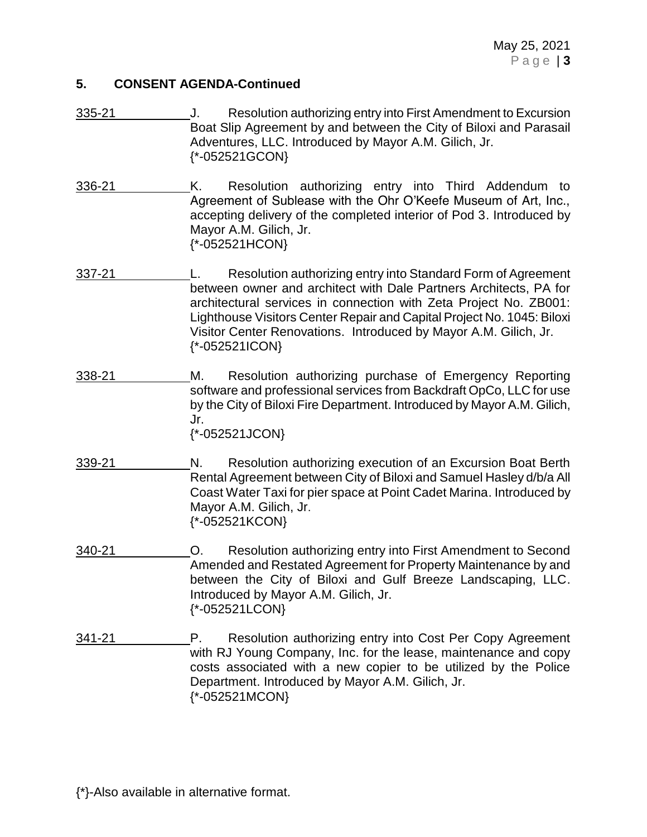- 335-21 J. Resolution authorizing entry into First Amendment to Excursion Boat Slip Agreement by and between the City of Biloxi and Parasail Adventures, LLC. Introduced by Mayor A.M. Gilich, Jr. {\*-052521GCON}
- 336-21 K. Resolution authorizing entry into Third Addendum to Agreement of Sublease with the Ohr O'Keefe Museum of Art, Inc., accepting delivery of the completed interior of Pod 3. Introduced by Mayor A.M. Gilich, Jr. {\*-052521HCON}
- 337-21 L. Resolution authorizing entry into Standard Form of Agreement between owner and architect with Dale Partners Architects, PA for architectural services in connection with Zeta Project No. ZB001: Lighthouse Visitors Center Repair and Capital Project No. 1045: Biloxi Visitor Center Renovations. Introduced by Mayor A.M. Gilich, Jr. {\*-052521ICON}
- 338-21 M. Resolution authorizing purchase of Emergency Reporting software and professional services from Backdraft OpCo, LLC for use by the City of Biloxi Fire Department. Introduced by Mayor A.M. Gilich, Jr. {\*-052521JCON}
- 339-21 N. Resolution authorizing execution of an Excursion Boat Berth Rental Agreement between City of Biloxi and Samuel Hasley d/b/a All Coast Water Taxi for pier space at Point Cadet Marina. Introduced by Mayor A.M. Gilich, Jr. {\*-052521KCON}
- 340-21 O. Resolution authorizing entry into First Amendment to Second Amended and Restated Agreement for Property Maintenance by and between the City of Biloxi and Gulf Breeze Landscaping, LLC. Introduced by Mayor A.M. Gilich, Jr. {\*-052521LCON}
- 341-21 P. Resolution authorizing entry into Cost Per Copy Agreement with RJ Young Company, Inc. for the lease, maintenance and copy costs associated with a new copier to be utilized by the Police Department. Introduced by Mayor A.M. Gilich, Jr. {\*-052521MCON}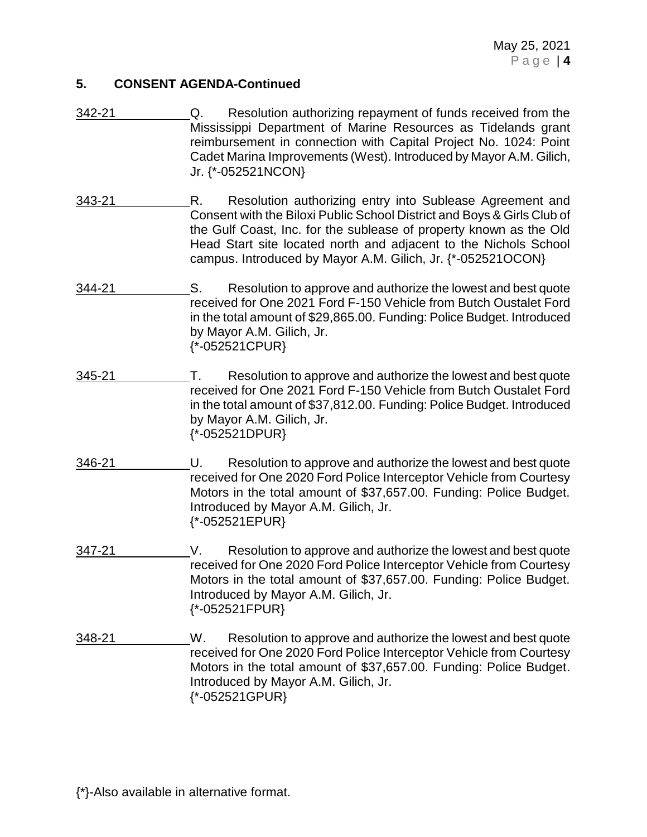- 342-21 Q. Resolution authorizing repayment of funds received from the Mississippi Department of Marine Resources as Tidelands grant reimbursement in connection with Capital Project No. 1024: Point Cadet Marina Improvements (West). Introduced by Mayor A.M. Gilich, Jr. {\*-052521NCON}
- 343-21 R. Resolution authorizing entry into Sublease Agreement and Consent with the Biloxi Public School District and Boys & Girls Club of the Gulf Coast, Inc. for the sublease of property known as the Old Head Start site located north and adjacent to the Nichols School campus. Introduced by Mayor A.M. Gilich, Jr. {\*-052521OCON}
- 344-21 S. Resolution to approve and authorize the lowest and best quote received for One 2021 Ford F-150 Vehicle from Butch Oustalet Ford in the total amount of \$29,865.00. Funding: Police Budget. Introduced by Mayor A.M. Gilich, Jr. {\*-052521CPUR}
- 345-21 T. Resolution to approve and authorize the lowest and best quote received for One 2021 Ford F-150 Vehicle from Butch Oustalet Ford in the total amount of \$37,812.00. Funding: Police Budget. Introduced by Mayor A.M. Gilich, Jr. {\*-052521DPUR}
- 346-21 U. Resolution to approve and authorize the lowest and best quote received for One 2020 Ford Police Interceptor Vehicle from Courtesy Motors in the total amount of \$37,657.00. Funding: Police Budget. Introduced by Mayor A.M. Gilich, Jr. {\*-052521EPUR}
- 347-21 V. Resolution to approve and authorize the lowest and best quote received for One 2020 Ford Police Interceptor Vehicle from Courtesy Motors in the total amount of \$37,657.00. Funding: Police Budget. Introduced by Mayor A.M. Gilich, Jr. {\*-052521FPUR}
- 348-21 W. Resolution to approve and authorize the lowest and best quote received for One 2020 Ford Police Interceptor Vehicle from Courtesy Motors in the total amount of \$37,657.00. Funding: Police Budget. Introduced by Mayor A.M. Gilich, Jr. {\*-052521GPUR}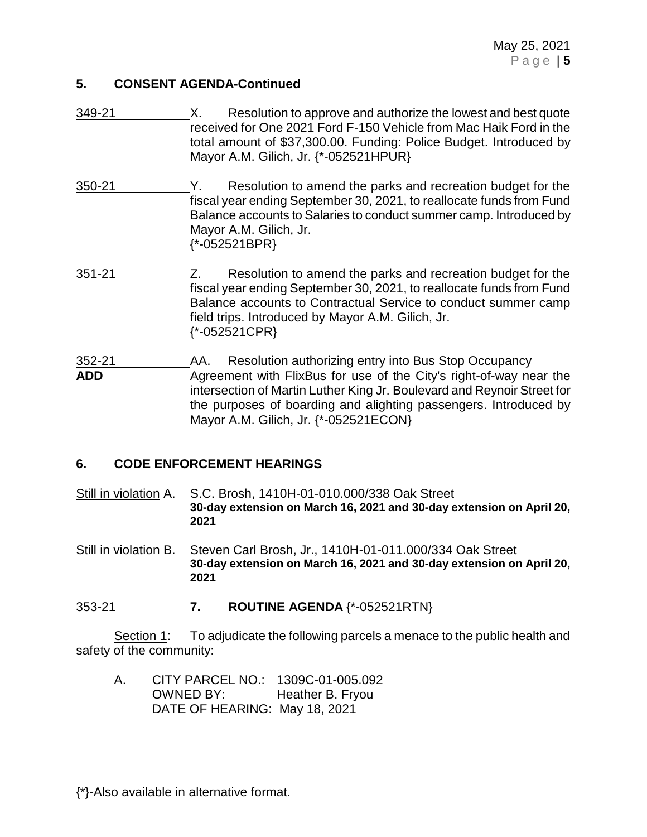- 349-21 X. Resolution to approve and authorize the lowest and best quote received for One 2021 Ford F-150 Vehicle from Mac Haik Ford in the total amount of \$37,300.00. Funding: Police Budget. Introduced by Mayor A.M. Gilich, Jr. {\*-052521HPUR}
- 350-21 Y. Resolution to amend the parks and recreation budget for the fiscal year ending September 30, 2021, to reallocate funds from Fund Balance accounts to Salaries to conduct summer camp. Introduced by Mayor A.M. Gilich, Jr. {\*-052521BPR}
- 351-21 Z. Resolution to amend the parks and recreation budget for the fiscal year ending September 30, 2021, to reallocate funds from Fund Balance accounts to Contractual Service to conduct summer camp field trips. Introduced by Mayor A.M. Gilich, Jr. {\*-052521CPR}
- 352-21 AA. Resolution authorizing entry into Bus Stop Occupancy **ADD** Agreement with FlixBus for use of the City's right-of-way near the intersection of Martin Luther King Jr. Boulevard and Reynoir Street for the purposes of boarding and alighting passengers. Introduced by Mayor A.M. Gilich, Jr. {\*-052521ECON}

### **6. CODE ENFORCEMENT HEARINGS**

Still in violation A. S.C. Brosh, 1410H-01-010.000/338 Oak Street **30-day extension on March 16, 2021 and 30-day extension on April 20, 2021**

Still in violation B. Steven Carl Brosh, Jr., 1410H-01-011.000/334 Oak Street **30-day extension on March 16, 2021 and 30-day extension on April 20, 2021**

#### 353-21 **7. ROUTINE AGENDA** {\*-052521RTN}

Section 1: To adjudicate the following parcels a menace to the public health and safety of the community:

A. CITY PARCEL NO.: 1309C-01-005.092 OWNED BY: Heather B. Fryou DATE OF HEARING: May 18, 2021